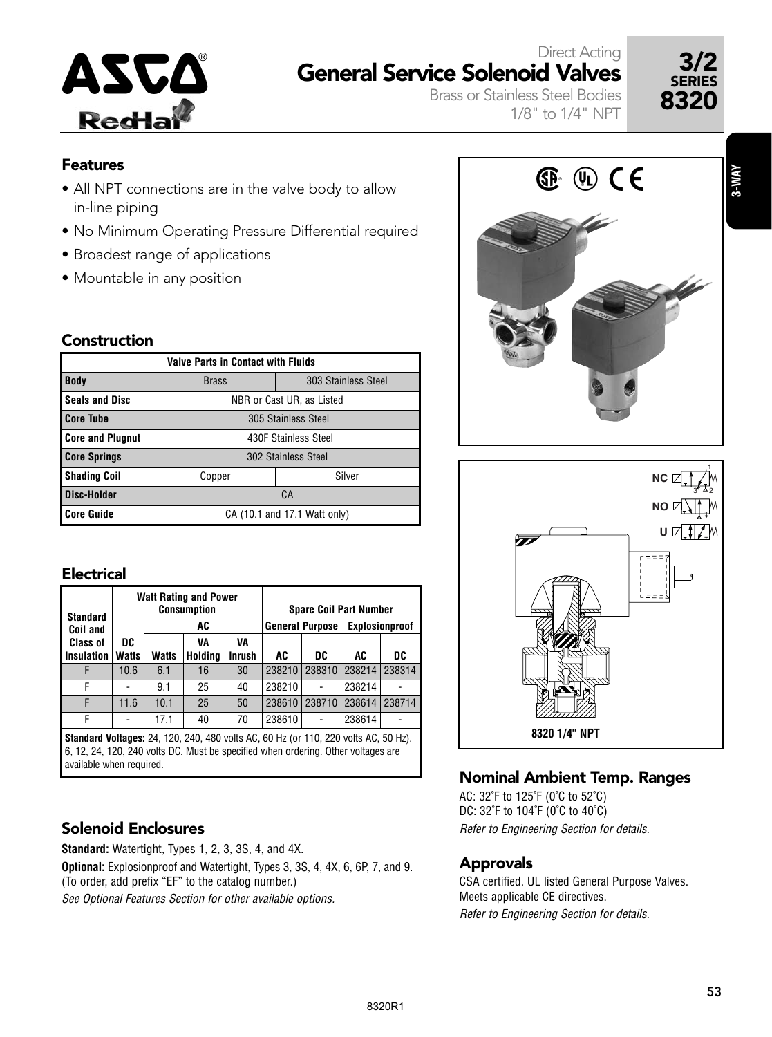

# ASCO<sup>®</sup> General Service Solenoid Valves 3/2 Direct Acting

Brass or Stainless Steel Bodies 1/8" to 1/4" NPT



#### Features

- All NPT connections are in the valve body to allow in-line piping
- No Minimum Operating Pressure Differential required
- Broadest range of applications
- Mountable in any position

#### Construction

| <b>Valve Parts in Contact with Fluids</b> |                                     |                              |  |  |  |  |  |  |  |  |  |
|-------------------------------------------|-------------------------------------|------------------------------|--|--|--|--|--|--|--|--|--|
| <b>Body</b>                               | 303 Stainless Steel<br><b>Brass</b> |                              |  |  |  |  |  |  |  |  |  |
| <b>Seals and Disc</b>                     | NBR or Cast UR, as Listed           |                              |  |  |  |  |  |  |  |  |  |
| <b>Core Tube</b>                          | 305 Stainless Steel                 |                              |  |  |  |  |  |  |  |  |  |
| <b>Core and Plugnut</b>                   | 430F Stainless Steel                |                              |  |  |  |  |  |  |  |  |  |
| <b>Core Springs</b>                       | 302 Stainless Steel                 |                              |  |  |  |  |  |  |  |  |  |
| <b>Shading Coil</b>                       | Silver<br>Copper                    |                              |  |  |  |  |  |  |  |  |  |
| Disc-Holder                               | СA                                  |                              |  |  |  |  |  |  |  |  |  |
| <b>Core Guide</b>                         |                                     | CA (10.1 and 17.1 Watt only) |  |  |  |  |  |  |  |  |  |

### **Electrical**

| <b>Standard</b>   |              |       | <b>Watt Rating and Power</b><br><b>Consumption</b> |        | <b>Spare Coil Part Number</b> |                        |                |        |  |  |
|-------------------|--------------|-------|----------------------------------------------------|--------|-------------------------------|------------------------|----------------|--------|--|--|
| Coil and          |              |       | AC                                                 |        |                               | <b>General Purpose</b> | Explosionproof |        |  |  |
| <b>Class of</b>   | DC           |       | VA                                                 | VA     |                               |                        |                |        |  |  |
| <b>Insulation</b> | <b>Watts</b> | Watts | Holding                                            | Inrush | AC                            | DC                     | AC             | DC     |  |  |
|                   | 10.6         | 6.1   | 16                                                 | 30     | 238210                        | 238310                 | 238214         | 238314 |  |  |
| F                 |              | 9.1   | 25                                                 | 40     | 238210                        | ۰                      | 238214         |        |  |  |
| F                 | 11.6         | 10.1  | 25                                                 | 50     | 238610                        | 238710                 | 238614         | 238714 |  |  |
| F                 |              | 17.1  | 40                                                 | 70     | 238610                        | ۰                      | 238614         |        |  |  |

**Standard Voltages:** 24, 120, 240, 480 volts AC, 60 Hz (or 110, 220 volts AC, 50 Hz). 6, 12, 24, 120, 240 volts DC. Must be specified when ordering. Other voltages are available when required.

### Solenoid Enclosures

**Standard:** Watertight, Types 1, 2, 3, 3S, 4, and 4X.

**Optional:** Explosionproof and Watertight, Types 3, 3S, 4, 4X, 6, 6P, 7, and 9. (To order, add prefix "EF" to the catalog number.)

See Optional Features Section for other available options.



# Nominal Ambient Temp. Ranges

AC: 32˚F to 125˚F (0˚C to 52˚C) DC: 32˚F to 104˚F (0˚C to 40˚C) Refer to Engineering Section for details.

### Approvals

CSA certified. UL listed General Purpose Valves. Meets applicable CE directives. Refer to Engineering Section for details.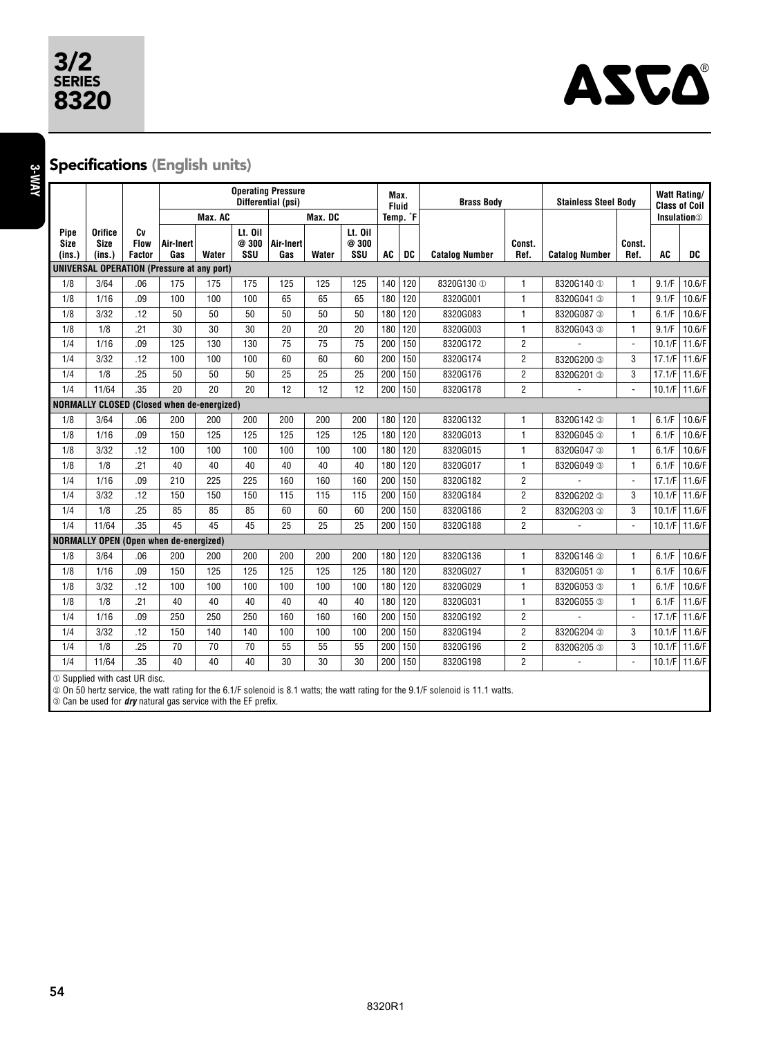# 3/2 SERIES



**3-WAY**

## Specifications (English units)

|                                                   |                                            |                                    | <b>Operating Pressure</b><br>Differential (psi) |         |                         |                  |       | Max.<br><b>Brass Body</b><br><b>Fluid</b> |     |     | <b>Stainless Steel Body</b> | <b>Watt Rating/</b><br><b>Class of Coil</b> |                       |                                |           |        |
|---------------------------------------------------|--------------------------------------------|------------------------------------|-------------------------------------------------|---------|-------------------------|------------------|-------|-------------------------------------------|-----|-----|-----------------------------|---------------------------------------------|-----------------------|--------------------------------|-----------|--------|
|                                                   |                                            |                                    |                                                 | Max. AC |                         | Max. DC          |       | Temp. °F                                  |     |     |                             |                                             |                       | <b>Insulation</b> <sup>2</sup> |           |        |
| Pipe<br><b>Size</b><br>$ins.$ )                   | <b>Orifice</b><br><b>Size</b><br>(ins.)    | Cv<br><b>Flow</b><br><b>Factor</b> | Air-Inert<br>Gas                                | Water   | Lt. Oil<br>@ 300<br>SSU | Air-Inert<br>Gas | Water | Lt. Oil<br>@300<br>SSU                    | AC  | DC  | <b>Catalog Number</b>       | Const.<br>Ref.                              | <b>Catalog Number</b> | Const.<br>Ref.                 | <b>AC</b> | DC     |
| <b>UNIVERSAL OPERATION (Pressure at any port)</b> |                                            |                                    |                                                 |         |                         |                  |       |                                           |     |     |                             |                                             |                       |                                |           |        |
| 1/8                                               | 3/64                                       | .06                                | 175                                             | 175     | 175                     | 125              | 125   | 125                                       | 140 | 120 | 8320G130 <sup>1</sup>       | 1                                           | 8320G140 ①            | $\mathbf{1}$                   | 9.1/F     | 10.6/F |
| 1/8                                               | 1/16                                       | .09                                | 100                                             | 100     | 100                     | 65               | 65    | 65                                        | 180 | 120 | 8320G001                    | 1                                           | 8320G041 3            | $\mathbf{1}$                   | 9.1/F     | 10.6/F |
| 1/8                                               | 3/32                                       | .12                                | 50                                              | 50      | 50                      | 50               | 50    | 50                                        | 180 | 120 | 8320G083                    | 1                                           | 8320G087 3            | 1                              | 6.1/F     | 10.6/F |
| 1/8                                               | 1/8                                        | .21                                | 30                                              | 30      | 30                      | 20               | 20    | 20                                        | 180 | 120 | 8320G003                    | $\mathbf{1}$                                | 8320G043 3            | $\mathbf{1}$                   | 9.1/F     | 10.6/F |
| 1/4                                               | 1/16                                       | .09                                | 125                                             | 130     | 130                     | 75               | 75    | 75                                        | 200 | 150 | 8320G172                    | $\overline{2}$                              |                       | $\blacksquare$                 | 10.1/F    | 11.6/F |
| 1/4                                               | 3/32                                       | .12                                | 100                                             | 100     | 100                     | 60               | 60    | 60                                        | 200 | 150 | 8320G174                    | $\overline{2}$                              | 8320G200 3            | 3                              | 17.1/F    | 11.6/F |
| 1/4                                               | 1/8                                        | .25                                | 50                                              | 50      | 50                      | 25               | 25    | 25                                        | 200 | 150 | 8320G176                    | $\overline{2}$                              | 8320G201 3            | 3                              | 17.1/F    | 11.6/F |
| 1/4                                               | 11/64                                      | .35                                | 20                                              | 20      | 20                      | 12               | 12    | 12                                        | 200 | 150 | 8320G178                    | $\overline{2}$                              |                       | $\blacksquare$                 | 10.1/F    | 11.6/F |
|                                                   | NORMALLY CLOSED (Closed when de-energized) |                                    |                                                 |         |                         |                  |       |                                           |     |     |                             |                                             |                       |                                |           |        |
| 1/8                                               | 3/64                                       | .06                                | 200                                             | 200     | 200                     | 200              | 200   | 200                                       | 180 | 120 | 8320G132                    | 1                                           | 8320G142 3            | $\mathbf{1}$                   | 6.1/F     | 10.6/F |
| 1/8                                               | 1/16                                       | .09                                | 150                                             | 125     | 125                     | 125              | 125   | 125                                       | 180 | 120 | 8320G013                    | 1                                           | 8320G045 3            | $\mathbf{1}$                   | 6.1/F     | 10.6/F |
| 1/8                                               | 3/32                                       | .12                                | 100                                             | 100     | 100                     | 100              | 100   | 100                                       | 180 | 120 | 8320G015                    | $\mathbf{1}$                                | 8320G047 3            | $\mathbf{1}$                   | 6.1/F     | 10.6/F |
| 1/8                                               | 1/8                                        | .21                                | 40                                              | 40      | 40                      | 40               | 40    | 40                                        | 180 | 120 | 8320G017                    | 1                                           | 8320G049 3            | $\mathbf{1}$                   | 6.1/F     | 10.6/F |
| 1/4                                               | 1/16                                       | .09                                | 210                                             | 225     | 225                     | 160              | 160   | 160                                       | 200 | 150 | 8320G182                    | $\overline{c}$                              |                       | $\mathbf{r}$                   | 17.1/F    | 11.6/F |
| 1/4                                               | 3/32                                       | .12                                | 150                                             | 150     | 150                     | 115              | 115   | 115                                       | 200 | 150 | 8320G184                    | $\overline{2}$                              | 8320G202 3            | 3                              | 10.1/F    | 11.6/F |
| 1/4                                               | 1/8                                        | .25                                | 85                                              | 85      | 85                      | 60               | 60    | 60                                        | 200 | 150 | 8320G186                    | $\overline{c}$                              | 8320G203 3            | 3                              | 10.1/F    | 11.6/F |
| 1/4                                               | 11/64                                      | .35                                | 45                                              | 45      | 45                      | 25               | 25    | 25                                        | 200 | 150 | 8320G188                    | $\overline{2}$                              |                       | $\blacksquare$                 | 10.1/F    | 11.6/F |
|                                                   |                                            |                                    | <b>NORMALLY OPEN (Open when de-energized)</b>   |         |                         |                  |       |                                           |     |     |                             |                                             |                       |                                |           |        |
| 1/8                                               | 3/64                                       | .06                                | 200                                             | 200     | 200                     | 200              | 200   | 200                                       | 180 | 120 | 8320G136                    | 1                                           | 8320G146 3            | 1                              | 6.1/F     | 10.6/F |
| 1/8                                               | 1/16                                       | .09                                | 150                                             | 125     | 125                     | 125              | 125   | 125                                       | 180 | 120 | 8320G027                    | $\mathbf{1}$                                | 8320G051 3            | $\mathbf{1}$                   | 6.1/F     | 10.6/F |
| 1/8                                               | 3/32                                       | .12                                | 100                                             | 100     | 100                     | 100              | 100   | 100                                       | 180 | 120 | 8320G029                    | $\mathbf{1}$                                | 8320G053 3            | $\mathbf{1}$                   | 6.1/F     | 10.6/F |
| 1/8                                               | 1/8                                        | .21                                | 40                                              | 40      | 40                      | 40               | 40    | 40                                        | 180 | 120 | 8320G031                    | $\mathbf{1}$                                | 8320G055 3            | $\mathbf{1}$                   | 6.1/F     | 11.6/F |
| 1/4                                               | 1/16                                       | .09                                | 250                                             | 250     | 250                     | 160              | 160   | 160                                       | 200 | 150 | 8320G192                    | $\overline{2}$                              |                       | ä,                             | 17.1/F    | 11.6/F |
| 1/4                                               | 3/32                                       | .12                                | 150                                             | 140     | 140                     | 100              | 100   | 100                                       | 200 | 150 | 8320G194                    | $\overline{2}$                              | 8320G204 3            | 3                              | 10.1/F    | 11.6/F |
| 1/4                                               | 1/8                                        | .25                                | 70                                              | 70      | 70                      | 55               | 55    | 55                                        | 200 | 150 | 8320G196                    | $\overline{2}$                              | 8320G205 3            | 3                              | 10.1/F    | 11.6/F |
| 1/4                                               | 11/64                                      | .35                                | 40                                              | 40      | 40                      | 30               | 30    | 30                                        | 200 | 150 | 8320G198                    | $\overline{2}$                              | ٠                     | $\blacksquare$                 | 10.1/F    | 11.6/F |
|                                                   | 10 Supplied with cast UR disc.             |                                    |                                                 |         |                         |                  |       |                                           |     |     |                             |                                             |                       |                                |           |        |

② On 50 hertz service, the watt rating for the 6.1/F solenoid is 8.1 watts; the watt rating for the 9.1/F solenoid is 11.1 watts.

➂ Can be used for **dry** natural gas service with the EF prefix.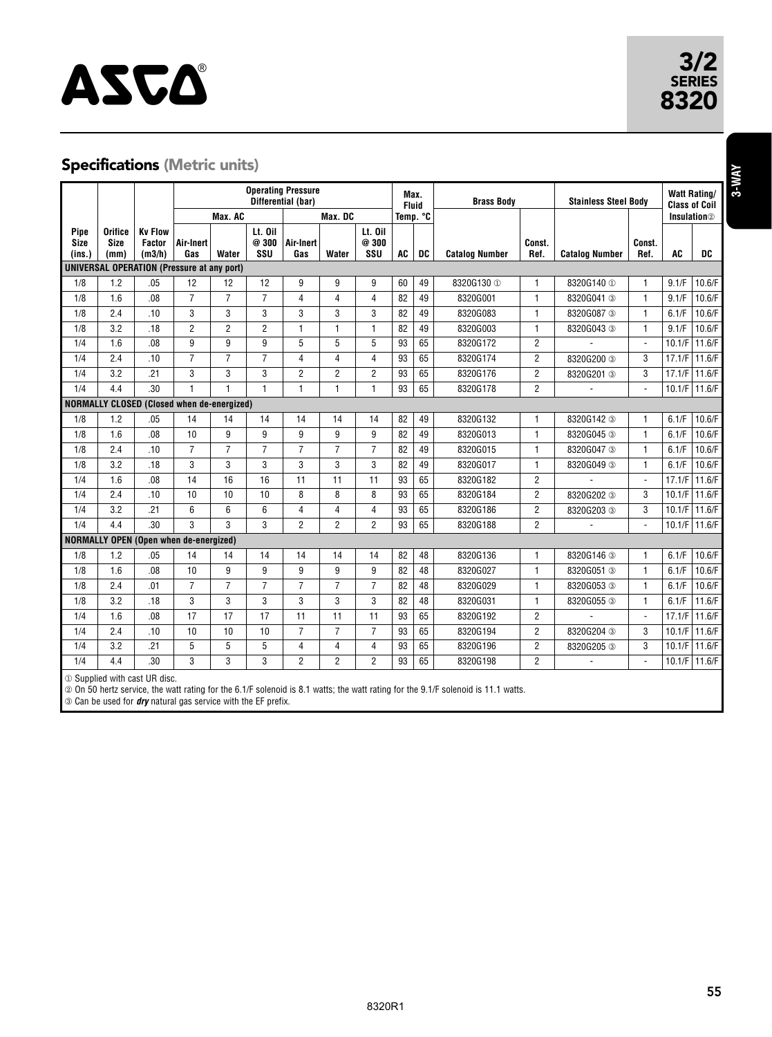# **ASCA**®

## Specifications (Metric units)

|                                                   |                                |                                                    | <b>Operating Pressure</b> |                |                         |                  |                |                         | Max.              |    |                             |                |                       |                |                                | <b>Watt Rating/</b> |
|---------------------------------------------------|--------------------------------|----------------------------------------------------|---------------------------|----------------|-------------------------|------------------|----------------|-------------------------|-------------------|----|-----------------------------|----------------|-----------------------|----------------|--------------------------------|---------------------|
|                                                   |                                |                                                    | Differential (bar)        |                |                         |                  | <b>Fluid</b>   |                         | <b>Brass Body</b> |    | <b>Stainless Steel Body</b> |                | <b>Class of Coil</b>  |                |                                |                     |
|                                                   |                                |                                                    |                           | Max. AC        |                         | Max. DC          |                | Temp. °C                |                   |    |                             |                |                       |                | <b>Insulation</b> <sup>2</sup> |                     |
| Pipe<br><b>Size</b><br>(ins.)                     | <b>Orifice</b><br>Size<br>(mm) | <b>Kv Flow</b><br><b>Factor</b><br>(m3/h)          | Air-Inert<br>Gas          | Water          | Lt. Oil<br>@ 300<br>ssu | Air-Inert<br>Gas | Water          | Lt. Oil<br>@300<br>SSU  | AC                | DC | <b>Catalog Number</b>       | Const.<br>Ref. | <b>Catalog Number</b> | Const.<br>Ref. | <b>AC</b>                      | DC                  |
|                                                   |                                | <b>UNIVERSAL OPERATION (Pressure at any port)</b>  |                           |                |                         |                  |                |                         |                   |    |                             |                |                       |                |                                |                     |
| 1/8                                               | 1.2                            | .05                                                | 12                        | 12             | 12                      | 9                | 9              | 9                       | 60                | 49 | 8320G130 ①                  | 1              | 8320G140 ①            | 1              | 9.1/F                          | 10.6/F              |
| 1/8                                               | 1.6                            | .08                                                | $\overline{7}$            | $\overline{7}$ | $\overline{7}$          | 4                | $\overline{4}$ | $\overline{\mathbf{4}}$ | 82                | 49 | 8320G001                    | $\mathbf{1}$   | 8320G041 3            | $\mathbf{1}$   | 9.1/F                          | 10.6/F              |
| 1/8                                               | 2.4                            | .10                                                | 3                         | 3              | 3                       | 3                | 3              | 3                       | 82                | 49 | 8320G083                    | 1              | 8320G087 3            | $\mathbf{1}$   | 6.1/F                          | 10.6/F              |
| 1/8                                               | 3.2                            | .18                                                | 2                         | $\overline{c}$ | 2                       | 1                | $\mathbf{1}$   | $\mathbf{1}$            | 82                | 49 | 8320G003                    | 1              | 8320G043 3            | 1              | 9.1/F                          | 10.6/F              |
| 1/4                                               | 1.6                            | .08                                                | 9                         | g              | 9                       | 5                | 5              | 5                       | 93                | 65 | 8320G172                    | $\overline{2}$ |                       | $\mathcal{L}$  | 10.1/F                         | 11.6/F              |
| 1/4                                               | 2.4                            | .10                                                | $\overline{7}$            | $\overline{7}$ | $\overline{7}$          | 4                | $\overline{4}$ | 4                       | 93                | 65 | 8320G174                    | $\overline{2}$ | 8320G200 3            | 3              | 17.1/F                         | 11.6/F              |
| 1/4                                               | 3.2                            | .21                                                | 3                         | 3              | 3                       | $\overline{2}$   | $\overline{2}$ | $\overline{2}$          | 93                | 65 | 8320G176                    | $\overline{2}$ | 8320G201 3            | 3              | 17.1/F                         | 11.6/F              |
| 1/4                                               | 4.4                            | .30                                                | $\overline{1}$            | 1              | $\mathbf{1}$            | 1                | $\mathbf{1}$   | $\mathbf{1}$            | 93                | 65 | 8320G178                    | $\overline{2}$ |                       |                | 10.1/F                         | 11.6/F              |
| <b>NORMALLY CLOSED (Closed when de-energized)</b> |                                |                                                    |                           |                |                         |                  |                |                         |                   |    |                             |                |                       |                |                                |                     |
| 1/8                                               | 1.2                            | .05                                                | 14                        | 14             | 14                      | 14               | 14             | 14                      | 82                | 49 | 8320G132                    | 1              | 8320G142 3            | 1              | 6.1/F                          | 10.6/F              |
| 1/8                                               | 1.6                            | .08                                                | 10                        | g              | 9                       | 9                | 9              | 9                       | 82                | 49 | 8320G013                    | 1              | 8320G045 3            | $\mathbf{1}$   | 6.1/F                          | 10.6/F              |
| 1/8                                               | 2.4                            | .10                                                | $\overline{7}$            | $\overline{7}$ | $\overline{7}$          | $\overline{7}$   | $\overline{7}$ | $\overline{7}$          | 82                | 49 | 8320G015                    | 1              | 8320G047 3            | $\mathbf{1}$   | 6.1/F                          | 10.6/F              |
| 1/8                                               | 3.2                            | .18                                                | 3                         | 3              | 3                       | 3                | 3              | 3                       | 82                | 49 | 8320G017                    | 1              | 8320G049 3            | $\mathbf{1}$   | 6.1/F                          | 10.6/F              |
| 1/4                                               | 1.6                            | .08                                                | 14                        | 16             | 16                      | 11               | 11             | 11                      | 93                | 65 | 8320G182                    | $\overline{2}$ |                       | $\sim$         | 17.1/F                         | 11.6/F              |
| 1/4                                               | 2.4                            | .10                                                | 10                        | 10             | 10                      | 8                | 8              | 8                       | 93                | 65 | 8320G184                    | $\overline{2}$ | 8320G202 3            | 3              | 10.1/F                         | 11.6/F              |
| 1/4                                               | 3.2                            | .21                                                | 6                         | 6              | 6                       | 4                | $\overline{4}$ | 4                       | 93                | 65 | 8320G186                    | $\overline{2}$ | 8320G203 3            | 3              | 10.1/F                         | 11.6/F              |
| 1/4                                               | 4.4                            | .30                                                | 3                         | 3              | 3                       | $\overline{2}$   | $\overline{2}$ | $\overline{2}$          | 93                | 65 | 8320G188                    | $\overline{2}$ |                       | $\blacksquare$ | 10.1/F                         | 11.6/F              |
|                                                   |                                | <b>NORMALLY OPEN (Open when de-energized)</b>      |                           |                |                         |                  |                |                         |                   |    |                             |                |                       |                |                                |                     |
| 1/8                                               | 1.2                            | .05                                                | 14                        | 14             | 14                      | 14               | 14             | 14                      | 82                | 48 | 8320G136                    | 1              | 8320G146 3            | 1              | 6.1/F                          | 10.6/F              |
| 1/8                                               | 1.6                            | .08                                                | 10                        | 9              | 9                       | 9                | 9              | 9                       | 82                | 48 | 8320G027                    | 1              | 8320G051 3            | $\mathbf{1}$   | 6.1/F                          | 10.6/F              |
| 1/8                                               | 2.4                            | .01                                                | $\overline{7}$            | $\overline{7}$ | $\overline{7}$          | $\overline{7}$   | $\overline{7}$ | $\overline{7}$          | 82                | 48 | 8320G029                    | 1              | 8320G053 3            | $\mathbf{1}$   | 6.1/F                          | 10.6/F              |
| 1/8                                               | 3.2                            | .18                                                | 3                         | 3              | 3                       | 3                | 3              | 3                       | 82                | 48 | 8320G031                    | 1              | 8320G055 3            | 1              | 6.1/F                          | 11.6/F              |
| 1/4                                               | 1.6                            | .08                                                | 17                        | 17             | 17                      | 11               | 11             | 11                      | 93                | 65 | 8320G192                    | $\overline{2}$ |                       | ÷              | 17.1/F                         | 11.6/F              |
| 1/4                                               | 2.4                            | .10                                                | 10                        | 10             | 10                      | $\overline{7}$   | $\overline{7}$ | $\overline{7}$          | 93                | 65 | 8320G194                    | $\overline{2}$ | 8320G204 3            | 3              | 10.1/F                         | 11.6/F              |
| 1/4                                               | 3.2                            | .21                                                | 5                         | 5              | 5                       | 4                | $\overline{4}$ | 4                       | 93                | 65 | 8320G196                    | $\overline{2}$ | 8320G205 3            | 3              | 10.1/F                         | 11.6/F              |
| 1/4                                               | 4.4                            | .30                                                | 3                         | 3              | 3                       | $\overline{2}$   | $\overline{2}$ | $\overline{2}$          | 93                | 65 | 8320G198                    | $\overline{2}$ |                       | ÷              | 10.1/F                         | 11.6/F              |
|                                                   |                                | $\odot$ Constitutional deviation of $\ddot{\rm m}$ |                           |                |                         |                  |                |                         |                   |    |                             |                |                       |                |                                |                     |

① Supplied with cast UR disc.

② On 50 hertz service, the watt rating for the 6.1/F solenoid is 8.1 watts; the watt rating for the 9.1/F solenoid is 11.1 watts.

➂ Can be used for **dry** natural gas service with the EF prefix.

3/2<br>
SERIES<br>
8320